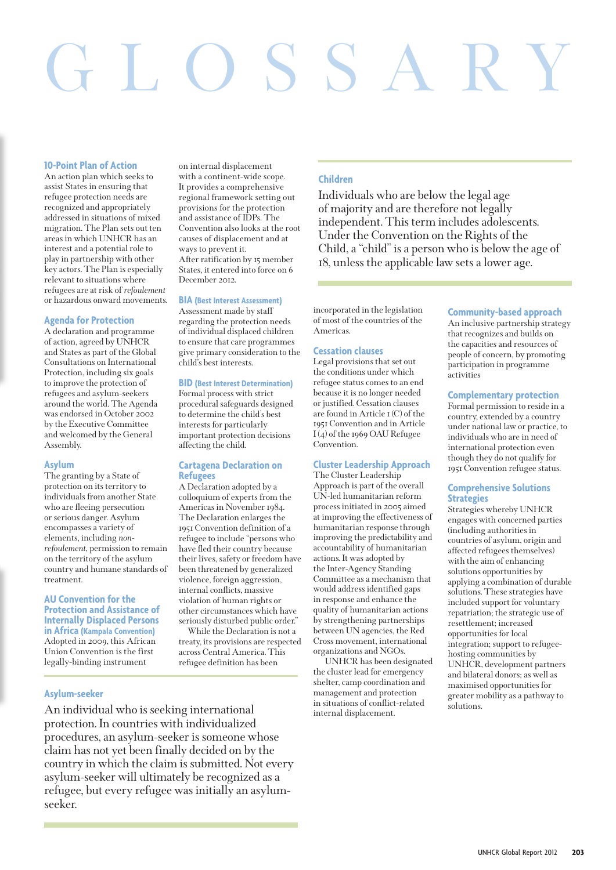# GLOSSARY

## **10-Point Plan of Action**

An action plan which seeks to assist States in ensuring that refugee protection needs are recognized and appropriately addressed in situations of mixed migration. The Plan sets out ten areas in which UNHCR has an interest and a potential role to play in partnership with other key actors. The Plan is especially relevant to situations where refugees are at risk of *refoulement* or hazardous onward movements.

## **Agenda for Protection**

A declaration and programme of action, agreed by UNHCR and States as part of the Global Consultations on International Protection, including six goals to improve the protection of refugees and asylum-seekers around the world. The Agenda was endorsed in October 2002 by the Executive Committee and welcomed by the General Assembly.

# **Asylum**

The granting by a State of protection on its territory to individuals from another State who are fleeing persecution or serious danger. Asylum encompasses a variety of elements, including *nonrefoulement*, permission to remain on the territory of the asylum country and humane standards of treatment.

## **AU Convention for the Protection and Assistance of Internally Displaced Persons in Africa (Kampala Convention)**

Adopted in 2009, this African Union Convention is the first legally-binding instrument

## **Asylum-seeker**

on internal displacement with a continent-wide scope. It provides a comprehensive regional framework setting out provisions for the protection and assistance of IDPs. The Convention also looks at the root causes of displacement and at ways to prevent it. After ratification by 15 member States, it entered into force on 6 December 2012.

## **BIA (Best Interest Assessment)**

Assessment made by staff regarding the protection needs of individual displaced children to ensure that care programmes give primary consideration to the child's best interests.

# **BID (Best Interest Determination)**

Formal process with strict procedural safeguards designed to determine the child's best interests for particularly important protection decisions affecting the child.

## **Cartagena Declaration on Refugees**

A Declaration adopted by a colloquium of experts from the Americas in November 1984. The Declaration enlarges the 1951 Convention definition of a refugee to include "persons who have fled their country because their lives, safety or freedom have been threatened by generalized violence, foreign aggression, internal conflicts, massive violation of human rights or other circumstances which have seriously disturbed public order."

While the Declaration is not a treaty, its provisions are respected across Central America. This refugee definition has been

## **Children**

Individuals who are below the legal age of majority and are therefore not legally independent. This term includes adolescents. Under the Convention on the Rights of the Child, a "child" is a person who is below the age of 18, unless the applicable law sets a lower age.

incorporated in the legislation of most of the countries of the Americas.

## **Cessation clauses**

Legal provisions that set out the conditions under which refugee status comes to an end because it is no longer needed or justified. Cessation clauses are found in Article 1 (C) of the 1951 Convention and in Article I (4) of the 1969 OAU Refugee Convention.

## **Cluster Leadership Approach**

The Cluster Leadership Approach is part of the overall UN-led humanitarian reform process initiated in 2005 aimed at improving the effectiveness of humanitarian response through improving the predictability and accountability of humanitarian actions. It was adopted by the Inter-Agency Standing Committee as a mechanism that would address identified gaps in response and enhance the quality of humanitarian actions by strengthening partnerships between UN agencies, the Red Cross movement, international organizations and NGOs.

UNHCR has been designated the cluster lead for emergency shelter, camp coordination and management and protection in situations of conflict-related internal displacement.

## **Community-based approach**

An inclusive partnership strategy that recognizes and builds on the capacities and resources of people of concern, by promoting participation in programme activities

## **Complementary protection**

Formal permission to reside in a country, extended by a country under national law or practice, to individuals who are in need of international protection even though they do not qualify for 1951 Convention refugee status.

## **Comprehensive Solutions Strategies**

Strategies whereby UNHCR engages with concerned parties (including authorities in countries of asylum, origin and affected refugees themselves) with the aim of enhancing solutions opportunities by applying a combination of durable solutions. These strategies have included support for voluntary repatriation; the strategic use of resettlement; increased opportunities for local integration; support to refugeehosting communities by UNHCR, development partners and bilateral donors; as well as maximised opportunities for greater mobility as a pathway to solutions.

An individual who is seeking international protection. In countries with individualized procedures, an asylum-seeker is someone whose claim has not yet been finally decided on by the country in which the claim is submitted. Not every asylum-seeker will ultimately be recognized as a refugee, but every refugee was initially an asylumseeker.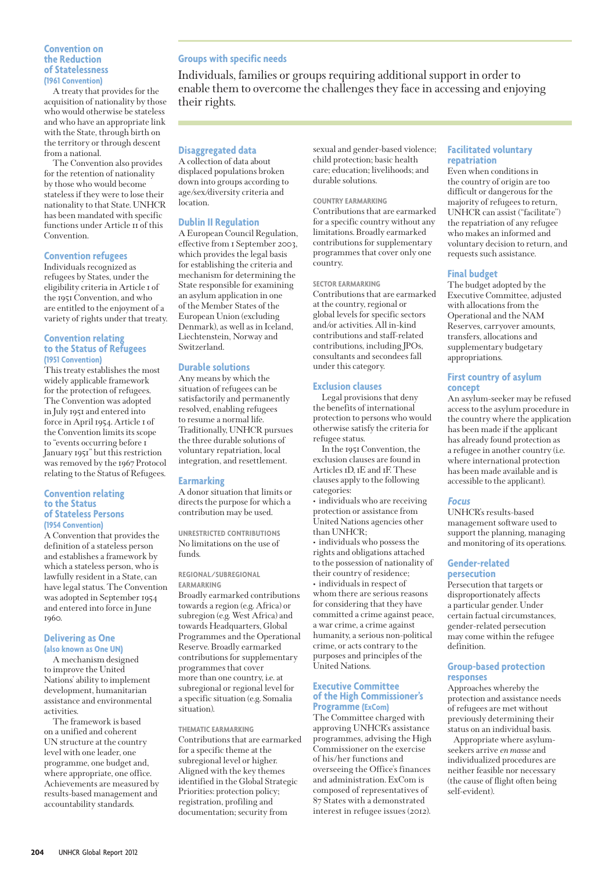## **Convention on the Reduction of Statelessness (1961 Convention)**

A treaty that provides for the acquisition of nationality by those who would otherwise be stateless and who have an appropriate link with the State, through birth on the territory or through descent from a national.

The Convention also provides for the retention of nationality by those who would become stateless if they were to lose their nationality to that State. UNHCR has been mandated with specific functions under Article 11 of this Convention.

## **Convention refugees**

Individuals recognized as refugees by States, under the eligibility criteria in Article 1 of the 1951 Convention, and who are entitled to the enjoyment of a variety of rights under that treaty.

## **Convention relating to the Status of Refugees (1951 Convention)**

This treaty establishes the most widely applicable framework for the protection of refugees. The Convention was adopted in July 1951 and entered into force in April 1954. Article 1 of the Convention limits its scope to "events occurring before 1 January 1951" but this restriction was removed by the 1967 Protocol relating to the Status of Refugees.

## **Convention relating to the Status of Stateless Persons (1954 Convention)**

A Convention that provides the definition of a stateless person and establishes a framework by which a stateless person, who is lawfully resident in a State, can have legal status. The Convention was adopted in September 1954 and entered into force in June 1960.

## **Delivering as One (also known as One UN)**

A mechanism designed to improve the United Nations' ability to implement development, humanitarian assistance and environmental activities.

The framework is based on a unified and coherent UN structure at the country level with one leader, one programme, one budget and, where appropriate, one office. Achievements are measured by results-based management and accountability standards.

# **Groups with specific needs**

Individuals, families or groups requiring additional support in order to enable them to overcome the challenges they face in accessing and enjoying their rights.

# **Disaggregated data**

A collection of data about displaced populations broken down into groups according to age/sex/diversity criteria and location.

## **Dublin II Regulation**

A European Council Regulation, effective from 1 September 2003, which provides the legal basis for establishing the criteria and mechanism for determining the State responsible for examining an asylum application in one of the Member States of the European Union (excluding Denmark), as well as in Iceland, Liechtenstein, Norway and Switzerland.

## **Durable solutions**

Any means by which the situation of refugees can be satisfactorily and permanently resolved, enabling refugees to resume a normal life. Traditionally, UNHCR pursues the three durable solutions of voluntary repatriation, local integration, and resettlement.

## **Earmarking**

A donor situation that limits or directs the purpose for which a contribution may be used.

**UNRESTRICTED CONTRIBUTIONS** No limitations on the use of funds.

#### **REGIONAL/SUBREGIONAL EARMARKING**

Broadly earmarked contributions towards a region (e.g. Africa) or subregion (e.g. West Africa) and towards Headquarters, Global Programmes and the Operational Reserve. Broadly earmarked contributions for supplementary programmes that cover more than one country, i.e. at subregional or regional level for a specific situation (e.g. Somalia situation).

## **THEMATIC EARMARKING**

Contributions that are earmarked for a specific theme at the subregional level or higher. Aligned with the key themes identified in the Global Strategic Priorities: protection policy; registration, profiling and documentation; security from

sexual and gender-based violence; child protection; basic health care; education; livelihoods; and durable solutions.

## **COUNTRY EARMARKING**

Contributions that are earmarked for a specific country without any limitations. Broadly earmarked contributions for supplementary programmes that cover only one country.

## **SECTOR EARMARKING**

Contributions that are earmarked at the country, regional or global levels for specific sectors and/or activities. All in-kind contributions and staff-related contributions, including JPOs, consultants and secondees fall under this category.

## **Exclusion clauses**

Legal provisions that deny the benefits of international protection to persons who would otherwise satisfy the criteria for refugee status.

In the 1951 Convention, the exclusion clauses are found in Articles 1D, 1E and 1F. These clauses apply to the following categories:

• individuals who are receiving protection or assistance from United Nations agencies other than UNHCR:

• individuals who possess the rights and obligations attached to the possession of nationality of their country of residence; • individuals in respect of whom there are serious reasons for considering that they have committed a crime against peace, a war crime, a crime against humanity, a serious non-political crime, or acts contrary to the purposes and principles of the United Nations.

## **Executive Committee of the High Commissioner's Programme (ExCom)**

The Committee charged with approving UNHCR's assistance programmes, advising the High Commissioner on the exercise of his/her functions and overseeing the Office's finances and administration. ExCom is composed of representatives of 87 States with a demonstrated interest in refugee issues (2012).

# **Facilitated voluntary repatriation**

Even when conditions in the country of origin are too difficult or dangerous for the majority of refugees to return, UNHCR can assist ("facilitate") the repatriation of any refugee who makes an informed and voluntary decision to return, and requests such assistance.

# **Final budget**

The budget adopted by the Executive Committee, adjusted with allocations from the Operational and the NAM Reserves, carryover amounts, transfers, allocations and supplementary budgetary appropriations.

## **First country of asylum concept**

An asylum-seeker may be refused access to the asylum procedure in the country where the application has been made if the applicant has already found protection as a refugee in another country (i.e. where international protection has been made available and is accessible to the applicant).

## **Focus**

UNHCR's results-based management software used to support the planning, managing and monitoring of its operations.

## **Gender-related persecution**

Persecution that targets or disproportionately affects a particular gender. Under certain factual circumstances, gender-related persecution may come within the refugee definition.

## **Group-based protection responses**

Approaches whereby the protection and assistance needs of refugees are met without previously determining their status on an individual basis.

Appropriate where asylumseekers arrive *en masse* and individualized procedures are neither feasible nor necessary (the cause of flight often being self-evident).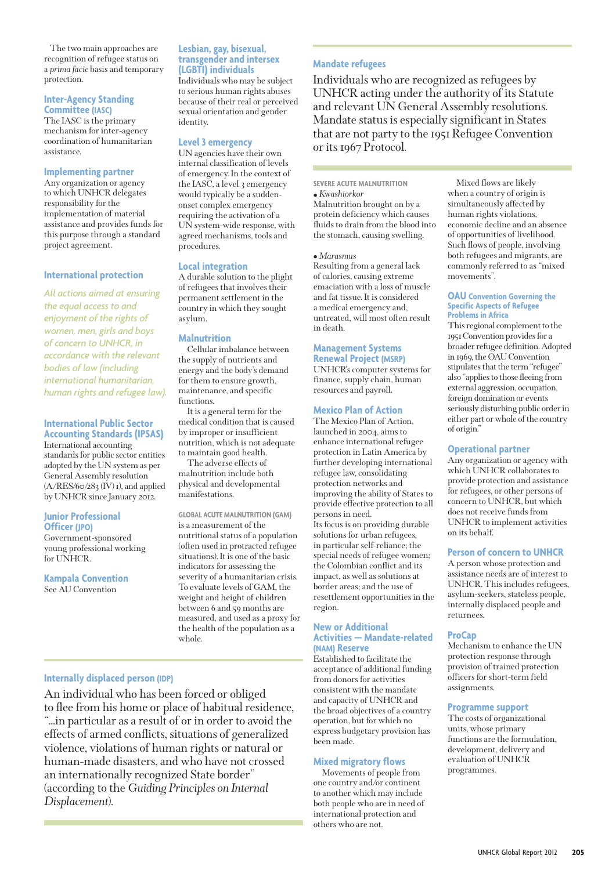The two main approaches are recognition of refugee status on a *prima facie* basis and temporary protection.

## **Inter-Agency Standing Committee (IASC)**

The IASC is the primary mechanism for inter-agency coordination of humanitarian assistance.

## **Implementing partner**

Any organization or agency to which UNHCR delegates responsibility for the implementation of material assistance and provides funds for this purpose through a standard project agreement.

## **International protection**

*All actions aimed at ensuring the equal access to and enjoyment of the rights of women, men, girls and boys of concern to UNHCR, in accordance with the relevant bodies of law (including international humanitarian, human rights and refugee law).*

# **International Public Sector Accounting Standards (IPSAS)**

International accounting standards for public sector entities adopted by the UN system as per General Assembly resolution  $(A/RES/60/283(IV)I)$ , and applied by UNHCR since January 2012.

## **Junior Professional Officer (JPO)**

Government-sponsored young professional working for UNHCR.

**Kampala Convention** See AU Convention

## **Lesbian, gay, bisexual, transgender and intersex (LGBTI) individuals**

Individuals who may be subject to serious human rights abuses because of their real or perceived sexual orientation and gender identity.

# **Level 3 emergency**

UN agencies have their own internal classification of levels of emergency. In the context of the IASC, a level 3 emergency would typically be a suddenonset complex emergency requiring the activation of a UN system-wide response, with agreed mechanisms, tools and procedures.

## **Local integration**

A durable solution to the plight of refugees that involves their permanent settlement in the country in which they sought asylum.

## **Malnutrition**

Cellular imbalance between the supply of nutrients and energy and the body's demand for them to ensure growth, maintenance, and specific functions.

It is a general term for the medical condition that is caused by improper or insufficient nutrition, which is not adequate to maintain good health.

The adverse effects of malnutrition include both physical and developmental manifestations.

## **GLOBAL ACUTE MALNUTRITION (GAM)**

is a measurement of the nutritional status of a population (often used in protracted refugee situations). It is one of the basic indicators for assessing the severity of a humanitarian crisis. To evaluate levels of GAM, the weight and height of children between 6 and 59 months are measured, and used as a proxy for the health of the population as a whole.

# **Internally displaced person (IDP)**

An individual who has been forced or obliged to flee from his home or place of habitual residence, "…in particular as a result of or in order to avoid the effects of armed conflicts, situations of generalized violence, violations of human rights or natural or human-made disasters, and who have not crossed an internationally recognized State border" (according to the *Guiding Principles on Internal Displacement*).

# **Mandate refugees**

Individuals who are recognized as refugees by UNHCR acting under the authority of its Statute and relevant UN General Assembly resolutions. Mandate status is especially significant in States that are not party to the 1951 Refugee Convention or its 1967 Protocol.

# **SEVERE ACUTE MALNUTRITION**

**•** *Kwashiorkor* Malnutrition brought on by a protein deficiency which causes fluids to drain from the blood into the stomach, causing swelling.

## **•** *Marasmus*

Resulting from a general lack of calories, causing extreme emaciation with a loss of muscle and fat tissue. It is considered a medical emergency and, untreated, will most often result in death.

# **Management Systems**

**Renewal Project (MSRP)** UNHCR's computer systems for finance, supply chain, human resources and payroll.

## **Mexico Plan of Action**

The Mexico Plan of Action, launched in 2004, aims to enhance international refugee protection in Latin America by further developing international refugee law, consolidating protection networks and improving the ability of States to provide effective protection to all persons in need. Its focus is on providing durable solutions for urban refugees, in particular self-reliance; the special needs of refugee women; the Colombian conflict and its impact, as well as solutions at border areas; and the use of resettlement opportunities in the region.

## **New or Additional Activities — Mandate-related (NAM) Reserve**

Established to facilitate the acceptance of additional funding from donors for activities consistent with the mandate and capacity of UNHCR and the broad objectives of a country operation, but for which no express budgetary provision has been made.

# **Mixed migratory flows**

Movements of people from one country and/or continent to another which may include both people who are in need of international protection and others who are not.

Mixed flows are likely when a country of origin is simultaneously affected by human rights violations, economic decline and an absence of opportunities of livelihood. Such flows of people, involving both refugees and migrants, are commonly referred to as "mixed movements".

#### **OAU Convention Governing the Specific Aspects of Refugee Problems in Africa**

This regional complement to the 1951 Convention provides for a broader refugee definition. Adopted in 1969, the OAU Convention stipulates that the term "refugee" also "applies to those fleeing from external aggression, occupation, foreign domination or events seriously disturbing public order in either part or whole of the country of origin."

# **Operational partner**

Any organization or agency with which UNHCR collaborates to provide protection and assistance for refugees, or other persons of concern to UNHCR, but which does not receive funds from UNHCR to implement activities on its behalf.

# **Person of concern to UNHCR**

A person whose protection and assistance needs are of interest to UNHCR. This includes refugees, asylum-seekers, stateless people, internally displaced people and returnees.

## **ProCap**

Mechanism to enhance the UN protection response through provision of trained protection officers for short-term field assignments.

# **Programme support**

The costs of organizational units, whose primary functions are the formulation, development, delivery and evaluation of UNHCR programmes.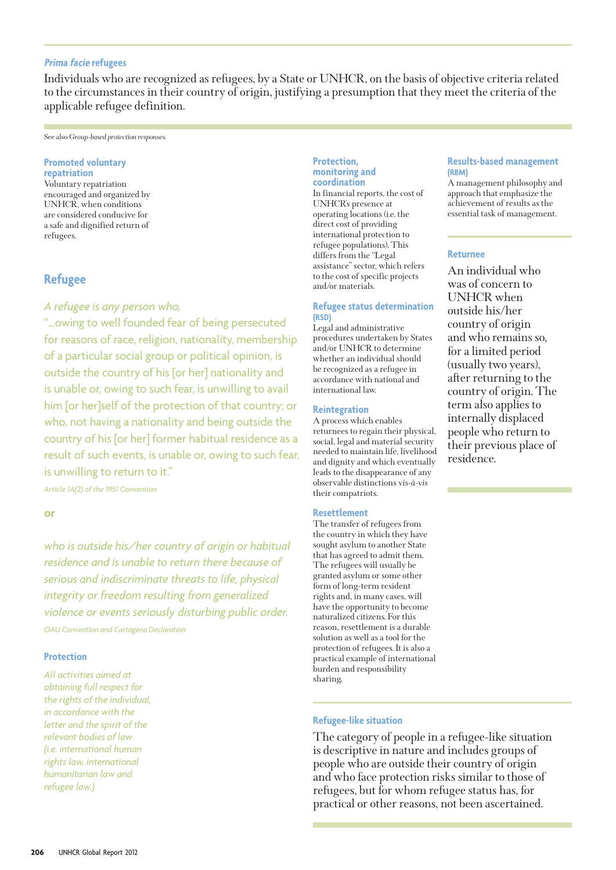# **Prima facie refugees**

Individuals who are recognized as refugees, by a State or UNHCR, on the basis of objective criteria related to the circumstances in their country of origin, justifying a presumption that they meet the criteria of the applicable refugee definition.

#### See also *Group-based protection responses.*

# **Promoted voluntary**

**repatriation** Voluntary repatriation encouraged and organized by UNHCR, when conditions are considered conducive for a safe and dignified return of refugees.

# **Refugee**

# *A refugee is any person who,*

"…owing to well founded fear of being persecuted for reasons of race, religion, nationality, membership of a particular social group or political opinion, is outside the country of his [or her] nationality and is unable or, owing to such fear, is unwilling to avail him [or her]self of the protection of that country; or who, not having a nationality and being outside the country of his [or her] former habitual residence as a result of such events, is unable or, owing to such fear, is unwilling to return to it."

*Article 1A(2) of the 1951 Convention*

**or**

*who is outside his/her country of origin or habitual residence and is unable to return there because of serious and indiscriminate threats to life, physical integrity or freedom resulting from generalized violence or events seriously disturbing public order. OAU Convention and Cartagena Declaration*

## **Protection**

*All activities aimed at obtaining full respect for the rights of the individual, in accordance with the letter and the spirit of the relevant bodies of law (i.e. international human rights law, international humanitarian law and refugee law.)*

## **Protection, monitoring and coordination**

In financial reports, the cost of UNHCR's presence at operating locations (i.e. the direct cost of providing international protection to refugee populations). This differs from the "Legal assistance" sector, which refers to the cost of specific projects and/or materials.

## **Refugee status determination (RSD)**

Legal and administrative procedures undertaken by States and/or UNHCR to determine whether an individual should be recognized as a refugee in accordance with national and international law.

## **Reintegration**

A process which enables returnees to regain their physical, social, legal and material security needed to maintain life, livelihood and dignity and which eventually leads to the disappearance of any observable distinctions *vis-à-vis* their compatriots.

## **Resettlement**

The transfer of refugees from the country in which they have sought asylum to another State that has agreed to admit them. The refugees will usually be granted asylum or some other form of long-term resident rights and, in many cases, will have the opportunity to become naturalized citizens. For this reason, resettlement is a durable solution as well as a tool for the protection of refugees. It is also a practical example of international burden and responsibility sharing.

# **Refugee-like situation**

The category of people in a refugee-like situation is descriptive in nature and includes groups of people who are outside their country of origin and who face protection risks similar to those of refugees, but for whom refugee status has, for practical or other reasons, not been ascertained.

## **Results-based management (RBM)**

A management philosophy and approach that emphasize the achievement of results as the essential task of management.

# **Returnee**

An individual who was of concern to UNHCR when outside his/her country of origin and who remains so, for a limited period (usually two years), after returning to the country of origin. The term also applies to internally displaced people who return to their previous place of residence.